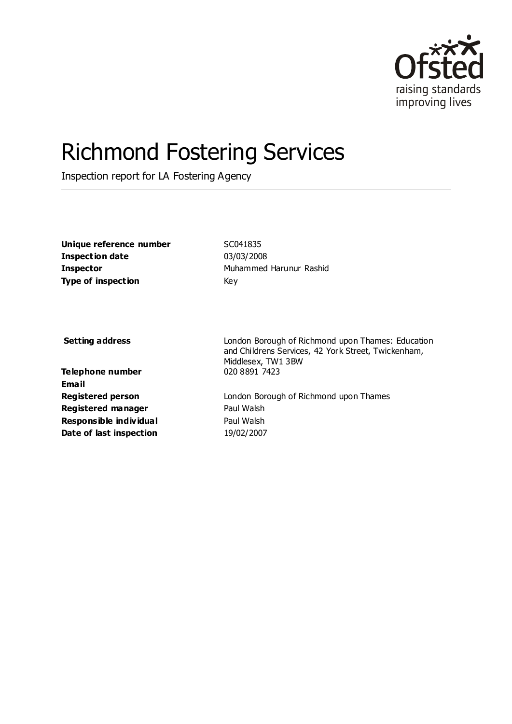

# Richmond Fostering Services

Inspection report for LA Fostering Agency

| Unique reference number   | <b>SCC</b> |
|---------------------------|------------|
| Inspection date           | 03/        |
| Inspector                 | Muł        |
| <b>Type of inspection</b> | Kev        |

**Unique reference number** SC041835 **Inspection date** 03/03/2008 **Inspector** Muhammed Harunur Rashid

**Telephone number** 020 8891 7423 **Email Registered manager** Paul Walsh **Responsible individual** Paul Walsh **Date of last inspection** 19/02/2007

**Setting address Setting address London Borough of Richmond upon Thames: Education** and Childrens Services, 42 York Street, Twickenham, Middlesex, TW1 3BW

**Registered person** London Borough of Richmond upon Thames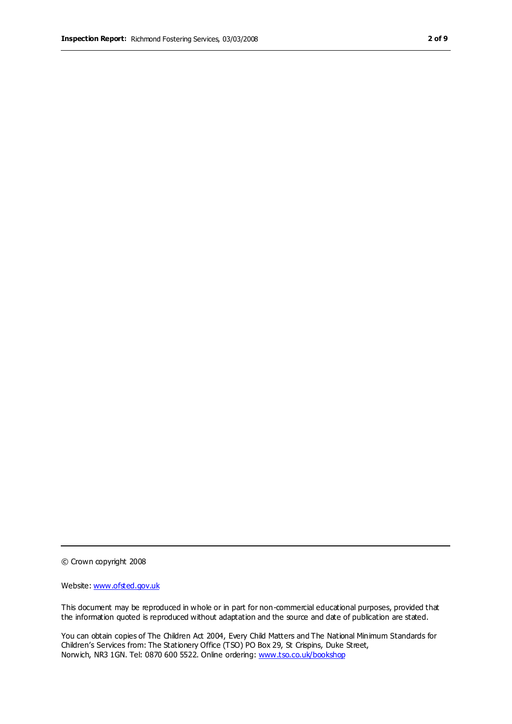© Crown copyright 2008

Website: www.ofsted.gov.uk

This document may be reproduced in whole or in part for non-commercial educational purposes, provided that the information quoted is reproduced without adaptation and the source and date of publication are stated.

You can obtain copies of The Children Act 2004, Every Child Matters and The National Minimum Standards for Children's Services from: The Stationery Office (TSO) PO Box 29, St Crispins, Duke Street, Norwich, NR3 1GN. Tel: 0870 600 5522. Online ordering: www.tso.co.uk/bookshop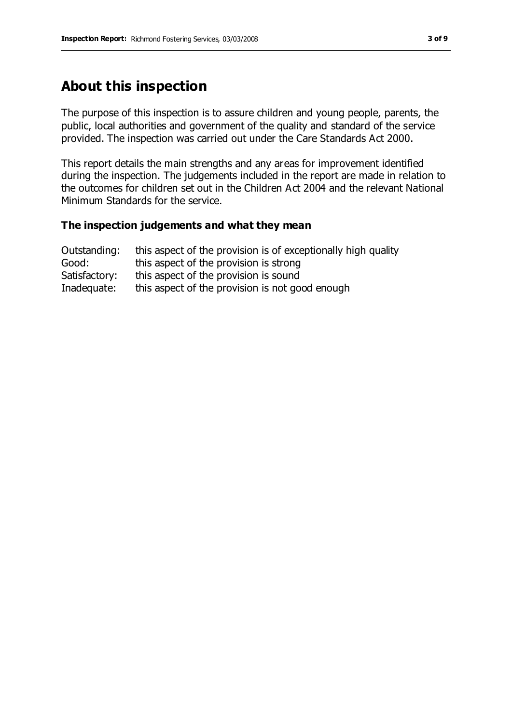# **About this inspection**

The purpose of this inspection is to assure children and young people, parents, the public, local authorities and government of the quality and standard of the service provided. The inspection was carried out under the Care Standards Act 2000.

This report details the main strengths and any areas for improvement identified during the inspection. The judgements included in the report are made in relation to the outcomes for children set out in the Children Act 2004 and the relevant National Minimum Standards for the service.

#### **The inspection judgements and what they mean**

| Outstanding:  | this aspect of the provision is of exceptionally high quality |
|---------------|---------------------------------------------------------------|
| Good:         | this aspect of the provision is strong                        |
| Satisfactory: | this aspect of the provision is sound                         |
| Inadequate:   | this aspect of the provision is not good enough               |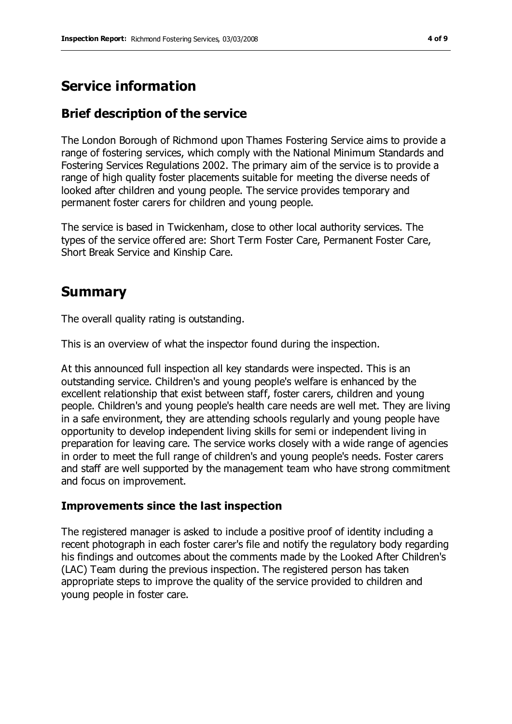# **Service information**

### **Brief description of the service**

The London Borough of Richmond upon Thames Fostering Service aims to provide a range of fostering services, which comply with the National Minimum Standards and Fostering Services Regulations 2002. The primary aim of the service is to provide a range of high quality foster placements suitable for meeting the diverse needs of looked after children and young people. The service provides temporary and permanent foster carers for children and young people.

The service is based in Twickenham, close to other local authority services. The types of the service offered are: Short Term Foster Care, Permanent Foster Care, Short Break Service and Kinship Care.

## **Summary**

The overall quality rating is outstanding.

This is an overview of what the inspector found during the inspection.

At this announced full inspection all key standards were inspected. This is an outstanding service. Children's and young people's welfare is enhanced by the excellent relationship that exist between staff, foster carers, children and young people. Children's and young people's health care needs are well met. They are living in a safe environment, they are attending schools regularly and young people have opportunity to develop independent living skills for semi or independent living in preparation for leaving care. The service works closely with a wide range of agencies in order to meet the full range of children's and young people's needs. Foster carers and staff are well supported by the management team who have strong commitment and focus on improvement.

#### **Improvements since the last inspection**

The registered manager is asked to include a positive proof of identity including a recent photograph in each foster carer's file and notify the regulatory body regarding his findings and outcomes about the comments made by the Looked After Children's (LAC) Team during the previous inspection. The registered person has taken appropriate steps to improve the quality of the service provided to children and young people in foster care.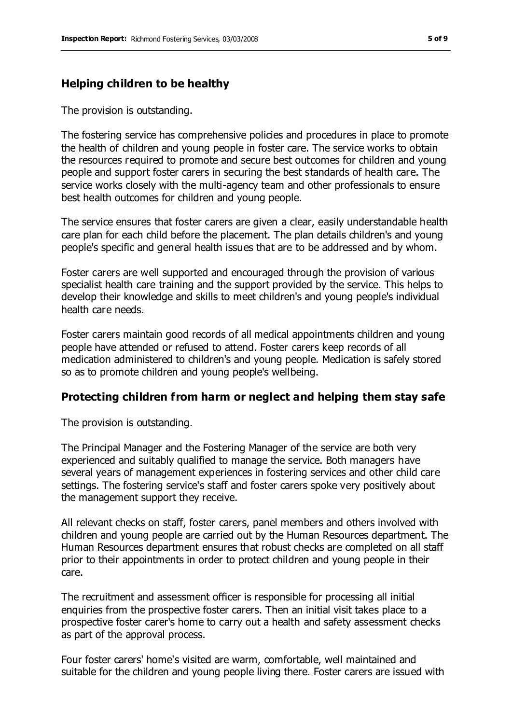#### **Helping children to be healthy**

The provision is outstanding.

The fostering service has comprehensive policies and procedures in place to promote the health of children and young people in foster care. The service works to obtain the resources required to promote and secure best outcomes for children and young people and support foster carers in securing the best standards of health care. The service works closely with the multi-agency team and other professionals to ensure best health outcomes for children and young people.

The service ensures that foster carers are given a clear, easily understandable health care plan for each child before the placement. The plan details children's and young people's specific and general health issues that are to be addressed and by whom.

Foster carers are well supported and encouraged through the provision of various specialist health care training and the support provided by the service. This helps to develop their knowledge and skills to meet children's and young people's individual health care needs.

Foster carers maintain good records of all medical appointments children and young people have attended or refused to attend. Foster carers keep records of all medication administered to children's and young people. Medication is safely stored so as to promote children and young people's wellbeing.

#### **Protecting children from harm or neglect and helping them stay safe**

The provision is outstanding.

The Principal Manager and the Fostering Manager of the service are both very experienced and suitably qualified to manage the service. Both managers have several years of management experiences in fostering services and other child care settings. The fostering service's staff and foster carers spoke very positively about the management support they receive.

All relevant checks on staff, foster carers, panel members and others involved with children and young people are carried out by the Human Resources department. The Human Resources department ensures that robust checks are completed on all staff prior to their appointments in order to protect children and young people in their care.

The recruitment and assessment officer is responsible for processing all initial enquiries from the prospective foster carers. Then an initial visit takes place to a prospective foster carer's home to carry out a health and safety assessment checks as part of the approval process.

Four foster carers' home's visited are warm, comfortable, well maintained and suitable for the children and young people living there. Foster carers are issued with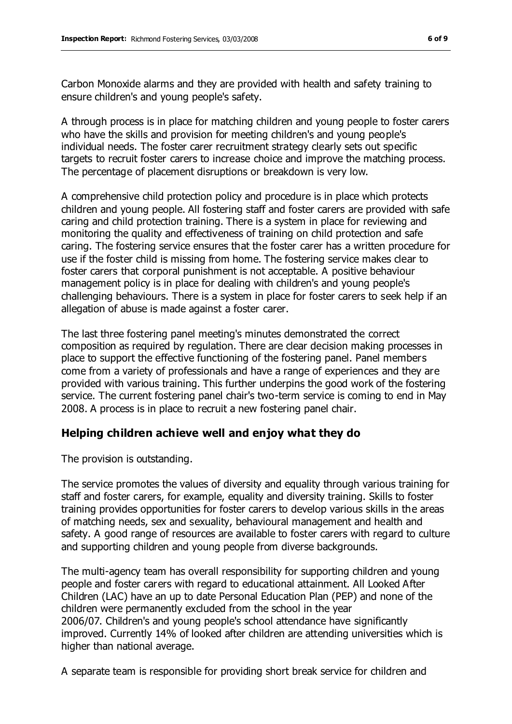Carbon Monoxide alarms and they are provided with health and safety training to ensure children's and young people's safety.

A through process is in place for matching children and young people to foster carers who have the skills and provision for meeting children's and young people's individual needs. The foster carer recruitment strategy clearly sets out specific targets to recruit foster carers to increase choice and improve the matching process. The percentage of placement disruptions or breakdown is very low.

A comprehensive child protection policy and procedure is in place which protects children and young people. All fostering staff and foster carers are provided with safe caring and child protection training. There is a system in place for reviewing and monitoring the quality and effectiveness of training on child protection and safe caring. The fostering service ensures that the foster carer has a written procedure for use if the foster child is missing from home. The fostering service makes clear to foster carers that corporal punishment is not acceptable. A positive behaviour management policy is in place for dealing with children's and young people's challenging behaviours. There is a system in place for foster carers to seek help if an allegation of abuse is made against a foster carer.

The last three fostering panel meeting's minutes demonstrated the correct composition as required by regulation. There are clear decision making processes in place to support the effective functioning of the fostering panel. Panel members come from a variety of professionals and have a range of experiences and they are provided with various training. This further underpins the good work of the fostering service. The current fostering panel chair's two-term service is coming to end in May 2008. A process is in place to recruit a new fostering panel chair.

#### **Helping children achieve well and enjoy what they do**

The provision is outstanding.

The service promotes the values of diversity and equality through various training for staff and foster carers, for example, equality and diversity training. Skills to foster training provides opportunities for foster carers to develop various skills in the areas of matching needs, sex and sexuality, behavioural management and health and safety. A good range of resources are available to foster carers with regard to culture and supporting children and young people from diverse backgrounds.

The multi-agency team has overall responsibility for supporting children and young people and foster carers with regard to educational attainment. All Looked After Children (LAC) have an up to date Personal Education Plan (PEP) and none of the children were permanently excluded from the school in the year 2006/07. Children's and young people's school attendance have significantly improved. Currently 14% of looked after children are attending universities which is higher than national average.

A separate team is responsible for providing short break service for children and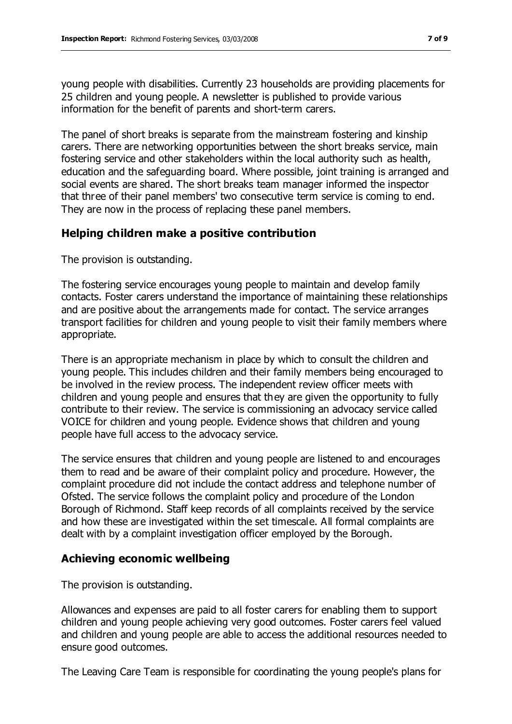young people with disabilities. Currently 23 households are providing placements for 25 children and young people. A newsletter is published to provide various information for the benefit of parents and short-term carers.

The panel of short breaks is separate from the mainstream fostering and kinship carers. There are networking opportunities between the short breaks service, main fostering service and other stakeholders within the local authority such as health, education and the safeguarding board. Where possible, joint training is arranged and social events are shared. The short breaks team manager informed the inspector that three of their panel members' two consecutive term service is coming to end. They are now in the process of replacing these panel members.

#### **Helping children make a positive contribution**

The provision is outstanding.

The fostering service encourages young people to maintain and develop family contacts. Foster carers understand the importance of maintaining these relationships and are positive about the arrangements made for contact. The service arranges transport facilities for children and young people to visit their family members where appropriate.

There is an appropriate mechanism in place by which to consult the children and young people. This includes children and their family members being encouraged to be involved in the review process. The independent review officer meets with children and young people and ensures that they are given the opportunity to fully contribute to their review. The service is commissioning an advocacy service called VOICE for children and young people. Evidence shows that children and young people have full access to the advocacy service.

The service ensures that children and young people are listened to and encourages them to read and be aware of their complaint policy and procedure. However, the complaint procedure did not include the contact address and telephone number of Ofsted. The service follows the complaint policy and procedure of the London Borough of Richmond. Staff keep records of all complaints received by the service and how these are investigated within the set timescale. All formal complaints are dealt with by a complaint investigation officer employed by the Borough.

#### **Achieving economic wellbeing**

The provision is outstanding.

Allowances and expenses are paid to all foster carers for enabling them to support children and young people achieving very good outcomes. Foster carers feel valued and children and young people are able to access the additional resources needed to ensure good outcomes.

The Leaving Care Team is responsible for coordinating the young people's plans for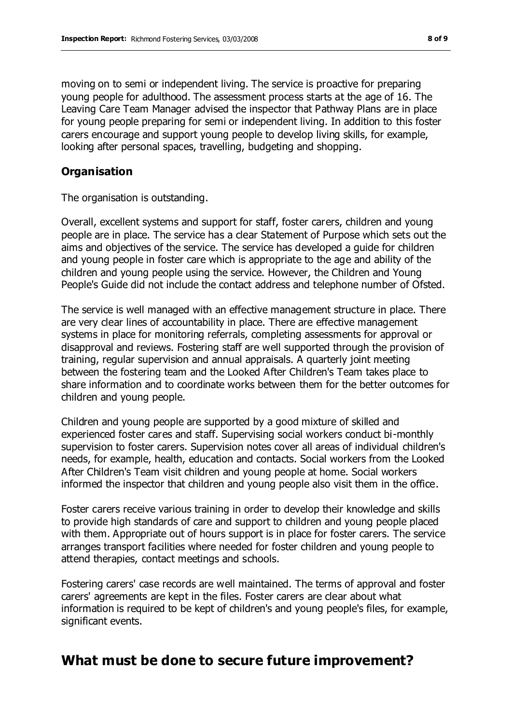moving on to semi or independent living. The service is proactive for preparing young people for adulthood. The assessment process starts at the age of 16. The Leaving Care Team Manager advised the inspector that Pathway Plans are in place for young people preparing for semi or independent living. In addition to this foster carers encourage and support young people to develop living skills, for example, looking after personal spaces, travelling, budgeting and shopping.

#### **Organisation**

The organisation is outstanding.

Overall, excellent systems and support for staff, foster carers, children and young people are in place. The service has a clear Statement of Purpose which sets out the aims and objectives of the service. The service has developed a guide for children and young people in foster care which is appropriate to the age and ability of the children and young people using the service. However, the Children and Young People's Guide did not include the contact address and telephone number of Ofsted.

The service is well managed with an effective management structure in place. There are very clear lines of accountability in place. There are effective management systems in place for monitoring referrals, completing assessments for approval or disapproval and reviews. Fostering staff are well supported through the provision of training, regular supervision and annual appraisals. A quarterly joint meeting between the fostering team and the Looked After Children's Team takes place to share information and to coordinate works between them for the better outcomes for children and young people.

Children and young people are supported by a good mixture of skilled and experienced foster cares and staff. Supervising social workers conduct bi-monthly supervision to foster carers. Supervision notes cover all areas of individual children's needs, for example, health, education and contacts. Social workers from the Looked After Children's Team visit children and young people at home. Social workers informed the inspector that children and young people also visit them in the office.

Foster carers receive various training in order to develop their knowledge and skills to provide high standards of care and support to children and young people placed with them. Appropriate out of hours support is in place for foster carers. The service arranges transport facilities where needed for foster children and young people to attend therapies, contact meetings and schools.

Fostering carers' case records are well maintained. The terms of approval and foster carers' agreements are kept in the files. Foster carers are clear about what information is required to be kept of children's and young people's files, for example, significant events.

# **What must be done to secure future improvement?**